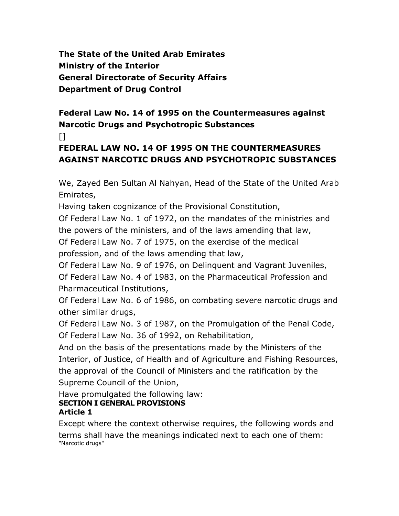**The State of the United Arab Emirates Ministry of the Interior General Directorate of Security Affairs Department of Drug Control**

# **Federal Law No. 14 of 1995 on the Countermeasures against Narcotic Drugs and Psychotropic Substances**

## $\Box$

# **FEDERAL LAW NO. 14 OF 1995 ON THE COUNTERMEASURES AGAINST NARCOTIC DRUGS AND PSYCHOTROPIC SUBSTANCES**

We, Zayed Ben Sultan Al Nahyan, Head of the State of the United Arab Emirates,

Having taken cognizance of the Provisional Constitution,

Of Federal Law No. 1 of 1972, on the mandates of the ministries and the powers of the ministers, and of the laws amending that law, Of Federal Law No. 7 of 1975, on the exercise of the medical

profession, and of the laws amending that law,

Of Federal Law No. 9 of 1976, on Delinquent and Vagrant Juveniles,

Of Federal Law No. 4 of 1983, on the Pharmaceutical Profession and Pharmaceutical Institutions,

Of Federal Law No. 6 of 1986, on combating severe narcotic drugs and other similar drugs,

Of Federal Law No. 3 of 1987, on the Promulgation of the Penal Code, Of Federal Law No. 36 of 1992, on Rehabilitation,

And on the basis of the presentations made by the Ministers of the Interior, of Justice, of Health and of Agriculture and Fishing Resources, the approval of the Council of Ministers and the ratification by the Supreme Council of the Union,

Have promulgated the following law: **SECTION I GENERAL PROVISIONS**

## **Article 1**

Except where the context otherwise requires, the following words and terms shall have the meanings indicated next to each one of them: "Narcotic drugs"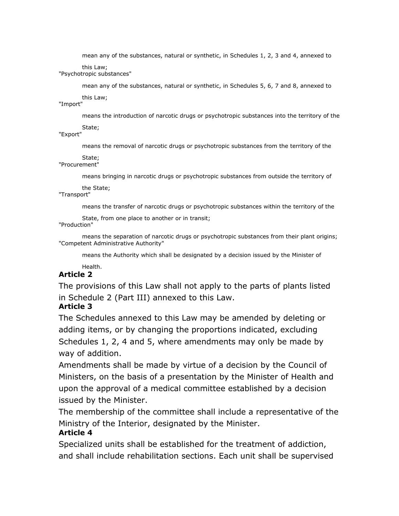mean any of the substances, natural or synthetic, in Schedules 1, 2, 3 and 4, annexed to

this Law;

"Psychotropic substances"

mean any of the substances, natural or synthetic, in Schedules 5, 6, 7 and 8, annexed to

this Law;

"Import"

means the introduction of narcotic drugs or psychotropic substances into the territory of the

State;

"Export"

means the removal of narcotic drugs or psychotropic substances from the territory of the

State;

"Procurement"

means bringing in narcotic drugs or psychotropic substances from outside the territory of

the State;

"Transport"

means the transfer of narcotic drugs or psychotropic substances within the territory of the

State, from one place to another or in transit;

#### "Production"

means the separation of narcotic drugs or psychotropic substances from their plant origins; "Competent Administrative Authority"

means the Authority which shall be designated by a decision issued by the Minister of

#### Health. **Article 2**

The provisions of this Law shall not apply to the parts of plants listed in Schedule 2 (Part III) annexed to this Law.

### **Article 3**

The Schedules annexed to this Law may be amended by deleting or adding items, or by changing the proportions indicated, excluding Schedules 1, 2, 4 and 5, where amendments may only be made by way of addition.

Amendments shall be made by virtue of a decision by the Council of Ministers, on the basis of a presentation by the Minister of Health and upon the approval of a medical committee established by a decision issued by the Minister.

The membership of the committee shall include a representative of the Ministry of the Interior, designated by the Minister.

#### **Article 4**

Specialized units shall be established for the treatment of addiction, and shall include rehabilitation sections. Each unit shall be supervised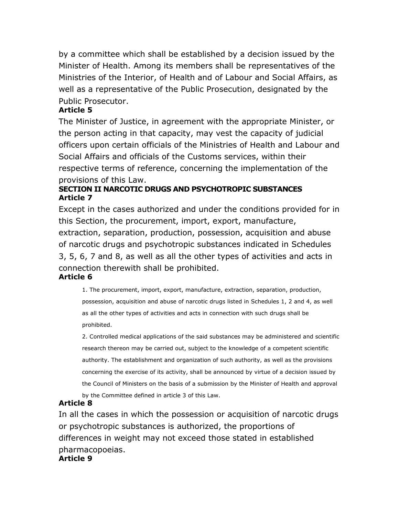by a committee which shall be established by a decision issued by the Minister of Health. Among its members shall be representatives of the Ministries of the Interior, of Health and of Labour and Social Affairs, as well as a representative of the Public Prosecution, designated by the Public Prosecutor.

#### **Article 5**

The Minister of Justice, in agreement with the appropriate Minister, or the person acting in that capacity, may vest the capacity of judicial officers upon certain officials of the Ministries of Health and Labour and Social Affairs and officials of the Customs services, within their respective terms of reference, concerning the implementation of the provisions of this Law.

### **SECTION II NARCOTIC DRUGS AND PSYCHOTROPIC SUBSTANCES Article 7**

Except in the cases authorized and under the conditions provided for in this Section, the procurement, import, export, manufacture, extraction, separation, production, possession, acquisition and abuse of narcotic drugs and psychotropic substances indicated in Schedules 3, 5, 6, 7 and 8, as well as all the other types of activities and acts in connection therewith shall be prohibited.

### **Article 6**

1. The procurement, import, export, manufacture, extraction, separation, production, possession, acquisition and abuse of narcotic drugs listed in Schedules 1, 2 and 4, as well as all the other types of activities and acts in connection with such drugs shall be prohibited.

2. Controlled medical applications of the said substances may be administered and scientific research thereon may be carried out, subject to the knowledge of a competent scientific authority. The establishment and organization of such authority, as well as the provisions concerning the exercise of its activity, shall be announced by virtue of a decision issued by the Council of Ministers on the basis of a submission by the Minister of Health and approval by the Committee defined in article 3 of this Law.

### **Article 8**

In all the cases in which the possession or acquisition of narcotic drugs or psychotropic substances is authorized, the proportions of differences in weight may not exceed those stated in established pharmacopoeias. **Article 9**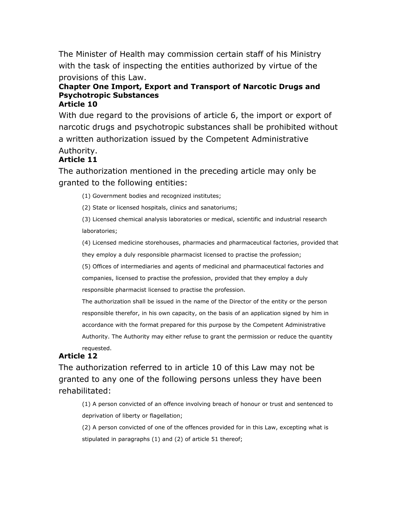The Minister of Health may commission certain staff of his Ministry with the task of inspecting the entities authorized by virtue of the provisions of this Law.

#### **Chapter One Import, Export and Transport of Narcotic Drugs and Psychotropic Substances Article 10**

With due regard to the provisions of article 6, the import or export of narcotic drugs and psychotropic substances shall be prohibited without a written authorization issued by the Competent Administrative Authority.

#### **Article 11**

The authorization mentioned in the preceding article may only be granted to the following entities:

(1) Government bodies and recognized institutes;

(2) State or licensed hospitals, clinics and sanatoriums;

(3) Licensed chemical analysis laboratories or medical, scientific and industrial research laboratories;

(4) Licensed medicine storehouses, pharmacies and pharmaceutical factories, provided that they employ a duly responsible pharmacist licensed to practise the profession;

(5) Offices of intermediaries and agents of medicinal and pharmaceutical factories and companies, licensed to practise the profession, provided that they employ a duly

responsible pharmacist licensed to practise the profession.

The authorization shall be issued in the name of the Director of the entity or the person responsible therefor, in his own capacity, on the basis of an application signed by him in accordance with the format prepared for this purpose by the Competent Administrative

Authority. The Authority may either refuse to grant the permission or reduce the quantity requested.

### **Article 12**

The authorization referred to in article 10 of this Law may not be granted to any one of the following persons unless they have been rehabilitated:

(1) A person convicted of an offence involving breach of honour or trust and sentenced to deprivation of liberty or flagellation;

(2) A person convicted of one of the offences provided for in this Law, excepting what is stipulated in paragraphs (1) and (2) of article 51 thereof;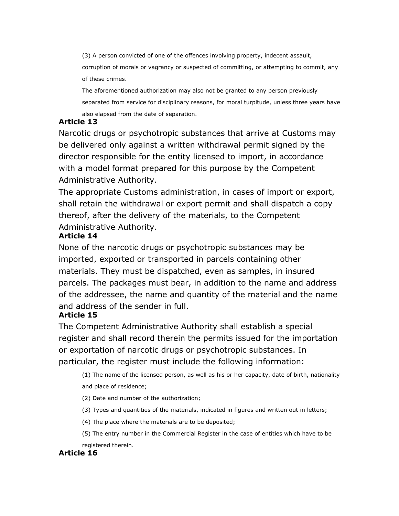(3) A person convicted of one of the offences involving property, indecent assault, corruption of morals or vagrancy or suspected of committing, or attempting to commit, any of these crimes.

The aforementioned authorization may also not be granted to any person previously separated from service for disciplinary reasons, for moral turpitude, unless three years have also elapsed from the date of separation.

#### **Article 13**

Narcotic drugs or psychotropic substances that arrive at Customs may be delivered only against a written withdrawal permit signed by the director responsible for the entity licensed to import, in accordance with a model format prepared for this purpose by the Competent Administrative Authority.

The appropriate Customs administration, in cases of import or export, shall retain the withdrawal or export permit and shall dispatch a copy thereof, after the delivery of the materials, to the Competent Administrative Authority.

### **Article 14**

None of the narcotic drugs or psychotropic substances may be imported, exported or transported in parcels containing other materials. They must be dispatched, even as samples, in insured parcels. The packages must bear, in addition to the name and address of the addressee, the name and quantity of the material and the name and address of the sender in full.

### **Article 15**

The Competent Administrative Authority shall establish a special register and shall record therein the permits issued for the importation or exportation of narcotic drugs or psychotropic substances. In particular, the register must include the following information:

(1) The name of the licensed person, as well as his or her capacity, date of birth, nationality and place of residence;

(2) Date and number of the authorization;

(3) Types and quantities of the materials, indicated in figures and written out in letters;

(4) The place where the materials are to be deposited;

(5) The entry number in the Commercial Register in the case of entities which have to be registered therein.

### **Article 16**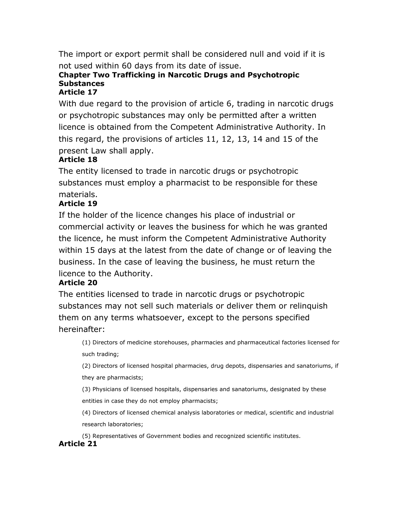The import or export permit shall be considered null and void if it is not used within 60 days from its date of issue.

## **Chapter Two Trafficking in Narcotic Drugs and Psychotropic Substances**

#### **Article 17**

With due regard to the provision of article 6, trading in narcotic drugs or psychotropic substances may only be permitted after a written licence is obtained from the Competent Administrative Authority. In this regard, the provisions of articles 11, 12, 13, 14 and 15 of the present Law shall apply.

## **Article 18**

The entity licensed to trade in narcotic drugs or psychotropic substances must employ a pharmacist to be responsible for these materials.

## **Article 19**

If the holder of the licence changes his place of industrial or commercial activity or leaves the business for which he was granted the licence, he must inform the Competent Administrative Authority within 15 days at the latest from the date of change or of leaving the business. In the case of leaving the business, he must return the licence to the Authority.

### **Article 20**

The entities licensed to trade in narcotic drugs or psychotropic substances may not sell such materials or deliver them or relinquish them on any terms whatsoever, except to the persons specified hereinafter:

(1) Directors of medicine storehouses, pharmacies and pharmaceutical factories licensed for such trading;

(2) Directors of licensed hospital pharmacies, drug depots, dispensaries and sanatoriums, if they are pharmacists;

(3) Physicians of licensed hospitals, dispensaries and sanatoriums, designated by these entities in case they do not employ pharmacists;

(4) Directors of licensed chemical analysis laboratories or medical, scientific and industrial research laboratories;

(5) Representatives of Government bodies and recognized scientific institutes.

### **Article 21**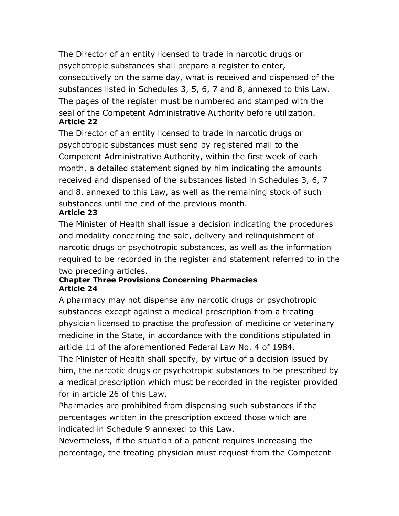The Director of an entity licensed to trade in narcotic drugs or psychotropic substances shall prepare a register to enter, consecutively on the same day, what is received and dispensed of the substances listed in Schedules 3, 5, 6, 7 and 8, annexed to this Law. The pages of the register must be numbered and stamped with the seal of the Competent Administrative Authority before utilization. **Article 22**

The Director of an entity licensed to trade in narcotic drugs or psychotropic substances must send by registered mail to the Competent Administrative Authority, within the first week of each month, a detailed statement signed by him indicating the amounts received and dispensed of the substances listed in Schedules 3, 6, 7 and 8, annexed to this Law, as well as the remaining stock of such substances until the end of the previous month. **Article 23**

The Minister of Health shall issue a decision indicating the procedures and modality concerning the sale, delivery and relinquishment of narcotic drugs or psychotropic substances, as well as the information required to be recorded in the register and statement referred to in the two preceding articles.

#### **Chapter Three Provisions Concerning Pharmacies Article 24**

A pharmacy may not dispense any narcotic drugs or psychotropic substances except against a medical prescription from a treating physician licensed to practise the profession of medicine or veterinary medicine in the State, in accordance with the conditions stipulated in article 11 of the aforementioned Federal Law No. 4 of 1984.

The Minister of Health shall specify, by virtue of a decision issued by him, the narcotic drugs or psychotropic substances to be prescribed by a medical prescription which must be recorded in the register provided for in article 26 of this Law.

Pharmacies are prohibited from dispensing such substances if the percentages written in the prescription exceed those which are indicated in Schedule 9 annexed to this Law.

Nevertheless, if the situation of a patient requires increasing the percentage, the treating physician must request from the Competent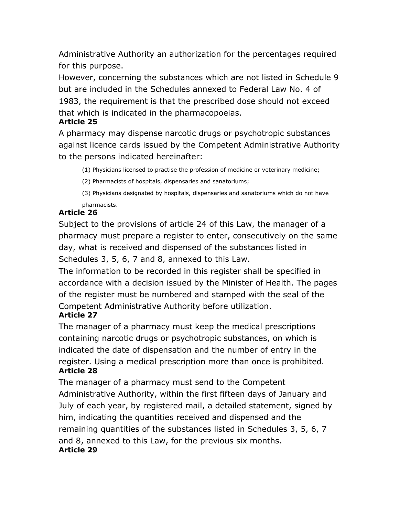Administrative Authority an authorization for the percentages required for this purpose.

However, concerning the substances which are not listed in Schedule 9 but are included in the Schedules annexed to Federal Law No. 4 of 1983, the requirement is that the prescribed dose should not exceed that which is indicated in the pharmacopoeias.

#### **Article 25**

A pharmacy may dispense narcotic drugs or psychotropic substances against licence cards issued by the Competent Administrative Authority to the persons indicated hereinafter:

(1) Physicians licensed to practise the profession of medicine or veterinary medicine;

(2) Pharmacists of hospitals, dispensaries and sanatoriums;

(3) Physicians designated by hospitals, dispensaries and sanatoriums which do not have pharmacists.

## **Article 26**

Subject to the provisions of article 24 of this Law, the manager of a pharmacy must prepare a register to enter, consecutively on the same day, what is received and dispensed of the substances listed in Schedules 3, 5, 6, 7 and 8, annexed to this Law.

The information to be recorded in this register shall be specified in accordance with a decision issued by the Minister of Health. The pages of the register must be numbered and stamped with the seal of the Competent Administrative Authority before utilization.

### **Article 27**

The manager of a pharmacy must keep the medical prescriptions containing narcotic drugs or psychotropic substances, on which is indicated the date of dispensation and the number of entry in the register. Using a medical prescription more than once is prohibited. **Article 28**

The manager of a pharmacy must send to the Competent Administrative Authority, within the first fifteen days of January and July of each year, by registered mail, a detailed statement, signed by him, indicating the quantities received and dispensed and the remaining quantities of the substances listed in Schedules 3, 5, 6, 7 and 8, annexed to this Law, for the previous six months. **Article 29**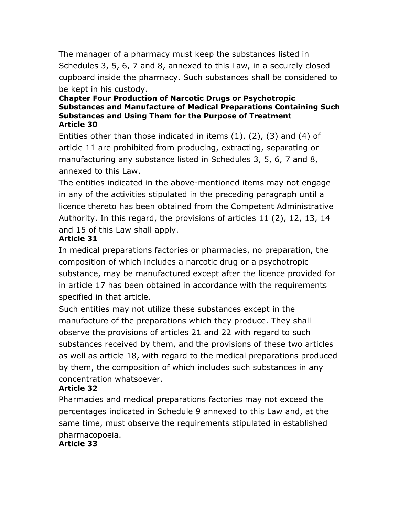The manager of a pharmacy must keep the substances listed in Schedules 3, 5, 6, 7 and 8, annexed to this Law, in a securely closed cupboard inside the pharmacy. Such substances shall be considered to be kept in his custody.

#### **Chapter Four Production of Narcotic Drugs or Psychotropic Substances and Manufacture of Medical Preparations Containing Such Substances and Using Them for the Purpose of Treatment Article 30**

Entities other than those indicated in items (1), (2), (3) and (4) of article 11 are prohibited from producing, extracting, separating or manufacturing any substance listed in Schedules 3, 5, 6, 7 and 8, annexed to this Law.

The entities indicated in the above-mentioned items may not engage in any of the activities stipulated in the preceding paragraph until a licence thereto has been obtained from the Competent Administrative Authority. In this regard, the provisions of articles 11 (2), 12, 13, 14 and 15 of this Law shall apply.

### **Article 31**

In medical preparations factories or pharmacies, no preparation, the composition of which includes a narcotic drug or a psychotropic substance, may be manufactured except after the licence provided for in article 17 has been obtained in accordance with the requirements specified in that article.

Such entities may not utilize these substances except in the manufacture of the preparations which they produce. They shall observe the provisions of articles 21 and 22 with regard to such substances received by them, and the provisions of these two articles as well as article 18, with regard to the medical preparations produced by them, the composition of which includes such substances in any concentration whatsoever.

## **Article 32**

Pharmacies and medical preparations factories may not exceed the percentages indicated in Schedule 9 annexed to this Law and, at the same time, must observe the requirements stipulated in established pharmacopoeia.

**Article 33**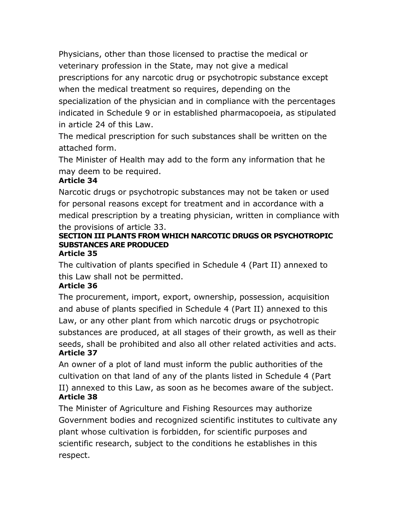Physicians, other than those licensed to practise the medical or veterinary profession in the State, may not give a medical prescriptions for any narcotic drug or psychotropic substance except when the medical treatment so requires, depending on the specialization of the physician and in compliance with the percentages indicated in Schedule 9 or in established pharmacopoeia, as stipulated in article 24 of this Law.

The medical prescription for such substances shall be written on the attached form.

The Minister of Health may add to the form any information that he may deem to be required.

## **Article 34**

Narcotic drugs or psychotropic substances may not be taken or used for personal reasons except for treatment and in accordance with a medical prescription by a treating physician, written in compliance with the provisions of article 33.

#### **SECTION III PLANTS FROM WHICH NARCOTIC DRUGS OR PSYCHOTROPIC SUBSTANCES ARE PRODUCED Article 35**

The cultivation of plants specified in Schedule 4 (Part II) annexed to this Law shall not be permitted.

### **Article 36**

The procurement, import, export, ownership, possession, acquisition and abuse of plants specified in Schedule 4 (Part II) annexed to this Law, or any other plant from which narcotic drugs or psychotropic substances are produced, at all stages of their growth, as well as their seeds, shall be prohibited and also all other related activities and acts. **Article 37**

An owner of a plot of land must inform the public authorities of the cultivation on that land of any of the plants listed in Schedule 4 (Part II) annexed to this Law, as soon as he becomes aware of the subject. **Article 38**

The Minister of Agriculture and Fishing Resources may authorize Government bodies and recognized scientific institutes to cultivate any plant whose cultivation is forbidden, for scientific purposes and scientific research, subject to the conditions he establishes in this respect.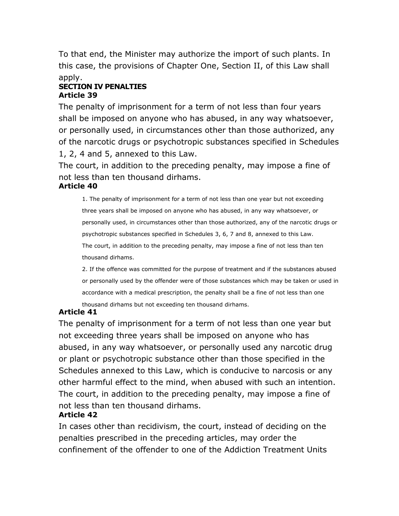To that end, the Minister may authorize the import of such plants. In this case, the provisions of Chapter One, Section II, of this Law shall apply.

#### **SECTION IV PENALTIES Article 39**

The penalty of imprisonment for a term of not less than four years shall be imposed on anyone who has abused, in any way whatsoever, or personally used, in circumstances other than those authorized, any of the narcotic drugs or psychotropic substances specified in Schedules 1, 2, 4 and 5, annexed to this Law.

The court, in addition to the preceding penalty, may impose a fine of not less than ten thousand dirhams.

#### **Article 40**

1. The penalty of imprisonment for a term of not less than one year but not exceeding three years shall be imposed on anyone who has abused, in any way whatsoever, or personally used, in circumstances other than those authorized, any of the narcotic drugs or psychotropic substances specified in Schedules 3, 6, 7 and 8, annexed to this Law. The court, in addition to the preceding penalty, may impose a fine of not less than ten thousand dirhams.

2. If the offence was committed for the purpose of treatment and if the substances abused or personally used by the offender were of those substances which may be taken or used in accordance with a medical prescription, the penalty shall be a fine of not less than one thousand dirhams but not exceeding ten thousand dirhams.

### **Article 41**

The penalty of imprisonment for a term of not less than one year but not exceeding three years shall be imposed on anyone who has abused, in any way whatsoever, or personally used any narcotic drug or plant or psychotropic substance other than those specified in the Schedules annexed to this Law, which is conducive to narcosis or any other harmful effect to the mind, when abused with such an intention. The court, in addition to the preceding penalty, may impose a fine of not less than ten thousand dirhams.

#### **Article 42**

In cases other than recidivism, the court, instead of deciding on the penalties prescribed in the preceding articles, may order the confinement of the offender to one of the Addiction Treatment Units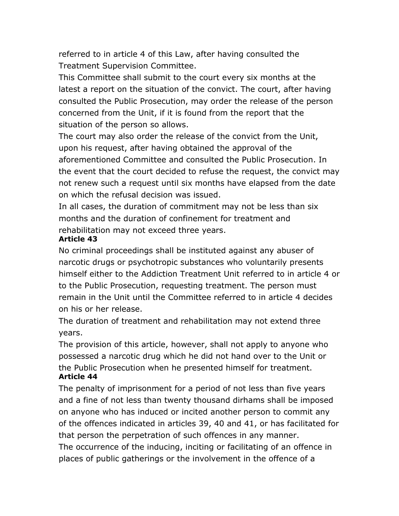referred to in article 4 of this Law, after having consulted the Treatment Supervision Committee.

This Committee shall submit to the court every six months at the latest a report on the situation of the convict. The court, after having consulted the Public Prosecution, may order the release of the person concerned from the Unit, if it is found from the report that the situation of the person so allows.

The court may also order the release of the convict from the Unit, upon his request, after having obtained the approval of the aforementioned Committee and consulted the Public Prosecution. In the event that the court decided to refuse the request, the convict may not renew such a request until six months have elapsed from the date on which the refusal decision was issued.

In all cases, the duration of commitment may not be less than six months and the duration of confinement for treatment and rehabilitation may not exceed three years.

#### **Article 43**

No criminal proceedings shall be instituted against any abuser of narcotic drugs or psychotropic substances who voluntarily presents himself either to the Addiction Treatment Unit referred to in article 4 or to the Public Prosecution, requesting treatment. The person must remain in the Unit until the Committee referred to in article 4 decides on his or her release.

The duration of treatment and rehabilitation may not extend three years.

The provision of this article, however, shall not apply to anyone who possessed a narcotic drug which he did not hand over to the Unit or the Public Prosecution when he presented himself for treatment. **Article 44**

The penalty of imprisonment for a period of not less than five years and a fine of not less than twenty thousand dirhams shall be imposed on anyone who has induced or incited another person to commit any of the offences indicated in articles 39, 40 and 41, or has facilitated for that person the perpetration of such offences in any manner. The occurrence of the inducing, inciting or facilitating of an offence in places of public gatherings or the involvement in the offence of a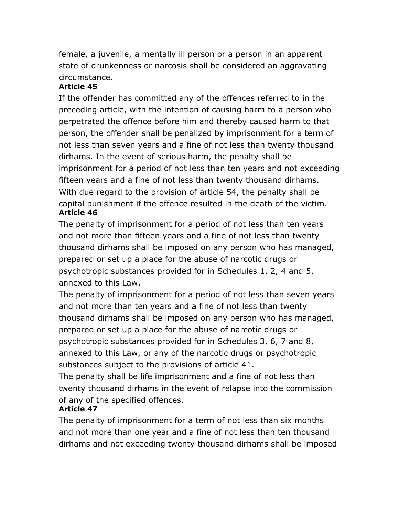female, a juvenile, a mentally ill person or a person in an apparent state of drunkenness or narcosis shall be considered an aggravating circumstance.

### **Article 45**

If the offender has committed any of the offences referred to in the preceding article, with the intention of causing harm to a person who perpetrated the offence before him and thereby caused harm to that person, the offender shall be penalized by imprisonment for a term of not less than seven years and a fine of not less than twenty thousand dirhams. In the event of serious harm, the penalty shall be imprisonment for a period of not less than ten years and not exceeding fifteen years and a fine of not less than twenty thousand dirhams. With due regard to the provision of article 54, the penalty shall be capital punishment if the offence resulted in the death of the victim. **Article 46**

The penalty of imprisonment for a period of not less than ten years and not more than fifteen years and a fine of not less than twenty thousand dirhams shall be imposed on any person who has managed, prepared or set up a place for the abuse of narcotic drugs or psychotropic substances provided for in Schedules 1, 2, 4 and 5, annexed to this Law.

The penalty of imprisonment for a period of not less than seven years and not more than ten years and a fine of not less than twenty thousand dirhams shall be imposed on any person who has managed, prepared or set up a place for the abuse of narcotic drugs or psychotropic substances provided for in Schedules 3, 6, 7 and 8, annexed to this Law, or any of the narcotic drugs or psychotropic substances subject to the provisions of article 41.

The penalty shall be life imprisonment and a fine of not less than twenty thousand dirhams in the event of relapse into the commission of any of the specified offences.

## **Article 47**

The penalty of imprisonment for a term of not less than six months and not more than one year and a fine of not less than ten thousand dirhams and not exceeding twenty thousand dirhams shall be imposed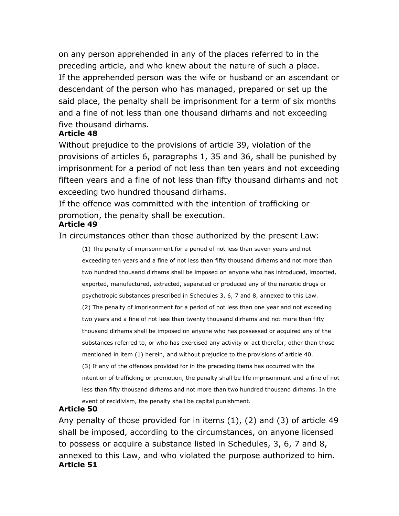on any person apprehended in any of the places referred to in the preceding article, and who knew about the nature of such a place. If the apprehended person was the wife or husband or an ascendant or descendant of the person who has managed, prepared or set up the said place, the penalty shall be imprisonment for a term of six months and a fine of not less than one thousand dirhams and not exceeding five thousand dirhams.

#### **Article 48**

Without prejudice to the provisions of article 39, violation of the provisions of articles 6, paragraphs 1, 35 and 36, shall be punished by imprisonment for a period of not less than ten years and not exceeding fifteen years and a fine of not less than fifty thousand dirhams and not exceeding two hundred thousand dirhams.

If the offence was committed with the intention of trafficking or promotion, the penalty shall be execution.

#### **Article 49**

In circumstances other than those authorized by the present Law:

(1) The penalty of imprisonment for a period of not less than seven years and not exceeding ten years and a fine of not less than fifty thousand dirhams and not more than two hundred thousand dirhams shall be imposed on anyone who has introduced, imported, exported, manufactured, extracted, separated or produced any of the narcotic drugs or psychotropic substances prescribed in Schedules 3, 6, 7 and 8, annexed to this Law. (2) The penalty of imprisonment for a period of not less than one year and not exceeding two years and a fine of not less than twenty thousand dirhams and not more than fifty thousand dirhams shall be imposed on anyone who has possessed or acquired any of the substances referred to, or who has exercised any activity or act therefor, other than those mentioned in item (1) herein, and without prejudice to the provisions of article 40. (3) If any of the offences provided for in the preceding items has occurred with the intention of trafficking or promotion, the penalty shall be life imprisonment and a fine of not less than fifty thousand dirhams and not more than two hundred thousand dirhams. In the event of recidivism, the penalty shall be capital punishment.

#### **Article 50**

Any penalty of those provided for in items (1), (2) and (3) of article 49 shall be imposed, according to the circumstances, on anyone licensed to possess or acquire a substance listed in Schedules, 3, 6, 7 and 8, annexed to this Law, and who violated the purpose authorized to him. **Article 51**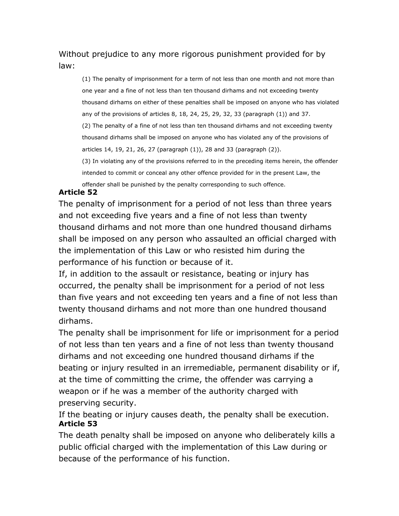## Without prejudice to any more rigorous punishment provided for by law:

(1) The penalty of imprisonment for a term of not less than one month and not more than one year and a fine of not less than ten thousand dirhams and not exceeding twenty thousand dirhams on either of these penalties shall be imposed on anyone who has violated any of the provisions of articles 8, 18, 24, 25, 29, 32, 33 (paragraph (1)) and 37. (2) The penalty of a fine of not less than ten thousand dirhams and not exceeding twenty thousand dirhams shall be imposed on anyone who has violated any of the provisions of articles 14, 19, 21, 26, 27 (paragraph (1)), 28 and 33 (paragraph (2)). (3) In violating any of the provisions referred to in the preceding items herein, the offender

intended to commit or conceal any other offence provided for in the present Law, the

offender shall be punished by the penalty corresponding to such offence.

#### **Article 52**

The penalty of imprisonment for a period of not less than three years and not exceeding five years and a fine of not less than twenty thousand dirhams and not more than one hundred thousand dirhams shall be imposed on any person who assaulted an official charged with the implementation of this Law or who resisted him during the performance of his function or because of it.

If, in addition to the assault or resistance, beating or injury has occurred, the penalty shall be imprisonment for a period of not less than five years and not exceeding ten years and a fine of not less than twenty thousand dirhams and not more than one hundred thousand dirhams.

The penalty shall be imprisonment for life or imprisonment for a period of not less than ten years and a fine of not less than twenty thousand dirhams and not exceeding one hundred thousand dirhams if the beating or injury resulted in an irremediable, permanent disability or if, at the time of committing the crime, the offender was carrying a weapon or if he was a member of the authority charged with preserving security.

If the beating or injury causes death, the penalty shall be execution. **Article 53**

The death penalty shall be imposed on anyone who deliberately kills a public official charged with the implementation of this Law during or because of the performance of his function.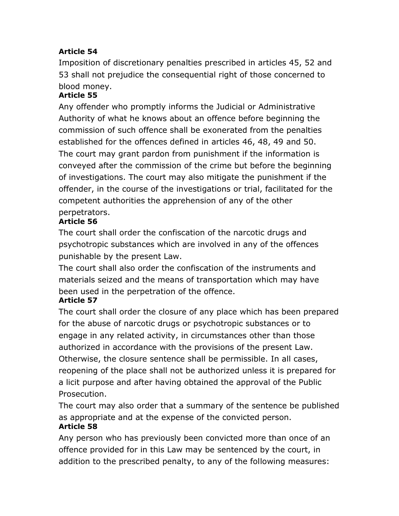## **Article 54**

Imposition of discretionary penalties prescribed in articles 45, 52 and 53 shall not prejudice the consequential right of those concerned to blood money.

## **Article 55**

Any offender who promptly informs the Judicial or Administrative Authority of what he knows about an offence before beginning the commission of such offence shall be exonerated from the penalties established for the offences defined in articles 46, 48, 49 and 50. The court may grant pardon from punishment if the information is conveyed after the commission of the crime but before the beginning of investigations. The court may also mitigate the punishment if the offender, in the course of the investigations or trial, facilitated for the competent authorities the apprehension of any of the other perpetrators.

## **Article 56**

The court shall order the confiscation of the narcotic drugs and psychotropic substances which are involved in any of the offences punishable by the present Law.

The court shall also order the confiscation of the instruments and materials seized and the means of transportation which may have been used in the perpetration of the offence.

## **Article 57**

The court shall order the closure of any place which has been prepared for the abuse of narcotic drugs or psychotropic substances or to engage in any related activity, in circumstances other than those authorized in accordance with the provisions of the present Law. Otherwise, the closure sentence shall be permissible. In all cases, reopening of the place shall not be authorized unless it is prepared for a licit purpose and after having obtained the approval of the Public Prosecution.

The court may also order that a summary of the sentence be published as appropriate and at the expense of the convicted person. **Article 58**

Any person who has previously been convicted more than once of an offence provided for in this Law may be sentenced by the court, in addition to the prescribed penalty, to any of the following measures: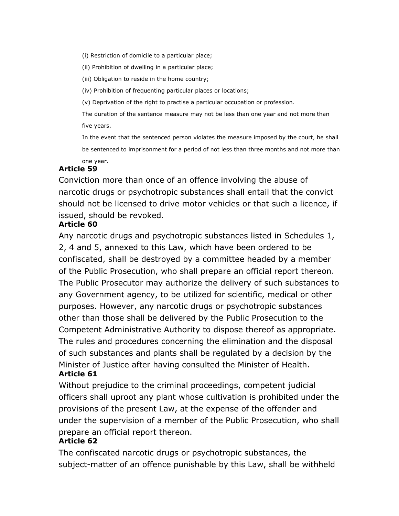(i) Restriction of domicile to a particular place;

(ii) Prohibition of dwelling in a particular place;

(iii) Obligation to reside in the home country;

(iv) Prohibition of frequenting particular places or locations;

(v) Deprivation of the right to practise a particular occupation or profession.

The duration of the sentence measure may not be less than one year and not more than five years.

In the event that the sentenced person violates the measure imposed by the court, he shall be sentenced to imprisonment for a period of not less than three months and not more than one year.

## **Article 59**

Conviction more than once of an offence involving the abuse of narcotic drugs or psychotropic substances shall entail that the convict should not be licensed to drive motor vehicles or that such a licence, if issued, should be revoked.

### **Article 60**

Any narcotic drugs and psychotropic substances listed in Schedules 1, 2, 4 and 5, annexed to this Law, which have been ordered to be confiscated, shall be destroyed by a committee headed by a member of the Public Prosecution, who shall prepare an official report thereon. The Public Prosecutor may authorize the delivery of such substances to any Government agency, to be utilized for scientific, medical or other purposes. However, any narcotic drugs or psychotropic substances other than those shall be delivered by the Public Prosecution to the Competent Administrative Authority to dispose thereof as appropriate. The rules and procedures concerning the elimination and the disposal of such substances and plants shall be regulated by a decision by the Minister of Justice after having consulted the Minister of Health. **Article 61**

Without prejudice to the criminal proceedings, competent judicial officers shall uproot any plant whose cultivation is prohibited under the provisions of the present Law, at the expense of the offender and under the supervision of a member of the Public Prosecution, who shall prepare an official report thereon.

### **Article 62**

The confiscated narcotic drugs or psychotropic substances, the subject-matter of an offence punishable by this Law, shall be withheld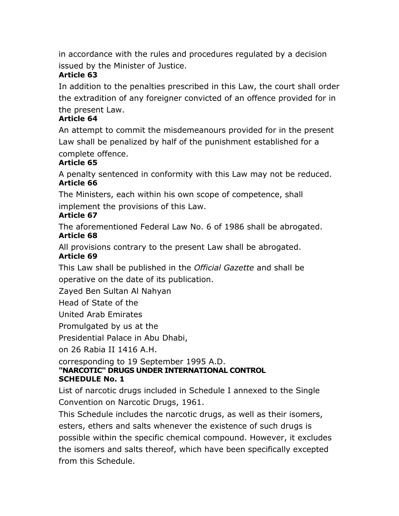in accordance with the rules and procedures regulated by a decision issued by the Minister of Justice.

## **Article 63**

In addition to the penalties prescribed in this Law, the court shall order the extradition of any foreigner convicted of an offence provided for in the present Law.

## **Article 64**

An attempt to commit the misdemeanours provided for in the present Law shall be penalized by half of the punishment established for a complete offence.

### **Article 65**

A penalty sentenced in conformity with this Law may not be reduced. **Article 66**

The Ministers, each within his own scope of competence, shall implement the provisions of this Law.

### **Article 67**

The aforementioned Federal Law No. 6 of 1986 shall be abrogated. **Article 68**

All provisions contrary to the present Law shall be abrogated.

### **Article 69**

This Law shall be published in the *Official Gazette* and shall be operative on the date of its publication.

Zayed Ben Sultan Al Nahyan

Head of State of the

United Arab Emirates

Promulgated by us at the

Presidential Palace in Abu Dhabi,

on 26 Rabia II 1416 A.H.

#### corresponding to 19 September 1995 A.D. **"NARCOTIC" DRUGS UNDER INTERNATIONAL CONTROL SCHEDULE No. 1**

List of narcotic drugs included in Schedule I annexed to the Single Convention on Narcotic Drugs, 1961.

This Schedule includes the narcotic drugs, as well as their isomers, esters, ethers and salts whenever the existence of such drugs is possible within the specific chemical compound. However, it excludes the isomers and salts thereof, which have been specifically excepted from this Schedule.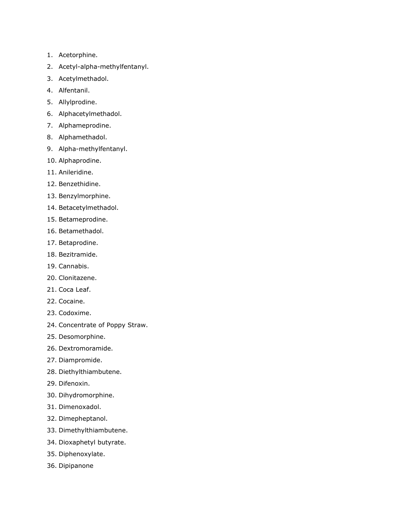- 1. Acetorphine.
- 2. Acetyl-alpha-methylfentanyl.
- 3. Acetylmethadol.
- 4. Alfentanil.
- 5. Allylprodine.
- 6. Alphacetylmethadol.
- 7. Alphameprodine.
- 8. Alphamethadol.
- 9. Alpha-methylfentanyl.
- 10. Alphaprodine.
- 11. Anileridine.
- 12. Benzethidine.
- 13. Benzylmorphine.
- 14. Betacetylmethadol.
- 15. Betameprodine.
- 16. Betamethadol.
- 17. Betaprodine.
- 18. Bezitramide.
- 19. Cannabis.
- 20. Clonitazene.
- 21. Coca Leaf.
- 22. Cocaine.
- 23. Codoxime.
- 24. Concentrate of Poppy Straw.
- 25. Desomorphine.
- 26. Dextromoramide.
- 27. Diampromide.
- 28. Diethylthiambutene.
- 29. Difenoxin.
- 30. Dihydromorphine.
- 31. Dimenoxadol.
- 32. Dimepheptanol.
- 33. Dimethylthiambutene.
- 34. Dioxaphetyl butyrate.
- 35. Diphenoxylate.
- 36. Dipipanone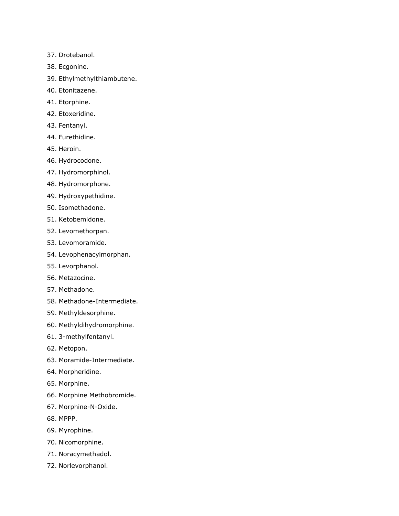- 37. Drotebanol.
- 38. Ecgonine.
- 39. Ethylmethylthiambutene.
- 40. Etonitazene.
- 41. Etorphine.
- 42. Etoxeridine.
- 43. Fentanyl.
- 44. Furethidine.
- 45. Heroin.
- 46. Hydrocodone.
- 47. Hydromorphinol.
- 48. Hydromorphone.
- 49. Hydroxypethidine.
- 50. Isomethadone.
- 51. Ketobemidone.
- 52. Levomethorpan.
- 53. Levomoramide.
- 54. Levophenacylmorphan.
- 55. Levorphanol.
- 56. Metazocine.
- 57. Methadone.
- 58. Methadone-Intermediate.
- 59. Methyldesorphine.
- 60. Methyldihydromorphine.
- 61. 3-methylfentanyl.
- 62. Metopon.
- 63. Moramide-Intermediate.
- 64. Morpheridine.
- 65. Morphine.
- 66. Morphine Methobromide.
- 67. Morphine-N-Oxide.
- 68. MPPP.
- 69. Myrophine.
- 70. Nicomorphine.
- 71. Noracymethadol.
- 72. Norlevorphanol.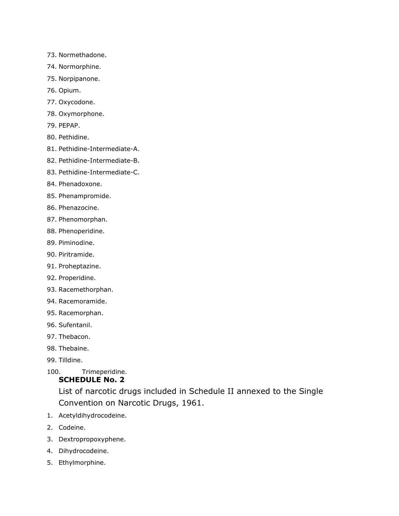- 73. Normethadone.
- 74. Normorphine.
- 75. Norpipanone.
- 76. Opium.
- 77. Oxycodone.
- 78. Oxymorphone.
- 79. PEPAP.
- 80. Pethidine.
- 81. Pethidine-Intermediate-A.
- 82. Pethidine-Intermediate-B.
- 83. Pethidine-Intermediate-C.
- 84. Phenadoxone.
- 85. Phenampromide.
- 86. Phenazocine.
- 87. Phenomorphan.
- 88. Phenoperidine.
- 89. Piminodine.
- 90. Piritramide.
- 91. Proheptazine.
- 92. Properidine.
- 93. Racemethorphan.
- 94. Racemoramide.
- 95. Racemorphan.
- 96. Sufentanil.
- 97. Thebacon.
- 98. Thebaine.
- 99. Tilldine.
- 100. Trimeperidine.

### **SCHEDULE No. 2**

List of narcotic drugs included in Schedule II annexed to the Single Convention on Narcotic Drugs, 1961.

- 1. Acetyldihydrocodeine.
- 2. Codeine.
- 3. Dextropropoxyphene.
- 4. Dihydrocodeine.
- 5. Ethylmorphine.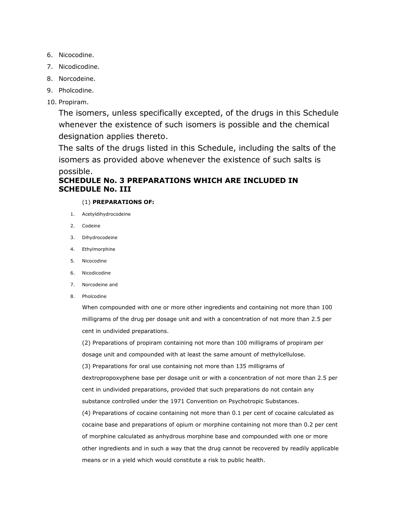- 6. Nicocodine.
- 7. Nicodicodine.
- 8. Norcodeine.
- 9. Pholcodine.
- 10. Propiram.

The isomers, unless specifically excepted, of the drugs in this Schedule whenever the existence of such isomers is possible and the chemical designation applies thereto.

The salts of the drugs listed in this Schedule, including the salts of the isomers as provided above whenever the existence of such salts is possible.

#### **SCHEDULE No. 3 PREPARATIONS WHICH ARE INCLUDED IN SCHEDULE No. III**

#### (1) **PREPARATIONS OF:**

- 1. Acetyldihydrocodeine
- 2. Codeine
- 3. Dihydrocodeine
- 4. Ethylmorphine
- 5. Nicocodine
- 6. Nicodicodine
- 7. Norcodeine and
- 8. Pholcodine

When compounded with one or more other ingredients and containing not more than 100 milligrams of the drug per dosage unit and with a concentration of not more than 2.5 per cent in undivided preparations.

(2) Preparations of propiram containing not more than 100 milligrams of propiram per dosage unit and compounded with at least the same amount of methylcellulose.

(3) Preparations for oral use containing not more than 135 milligrams of dextropropoxyphene base per dosage unit or with a concentration of not more than 2.5 per cent in undivided preparations, provided that such preparations do not contain any substance controlled under the 1971 Convention on Psychotropic Substances.

(4) Preparations of cocaine containing not more than 0.1 per cent of cocaine calculated as cocaine base and preparations of opium or morphine containing not more than 0.2 per cent of morphine calculated as anhydrous morphine base and compounded with one or more other ingredients and in such a way that the drug cannot be recovered by readily applicable means or in a yield which would constitute a risk to public health.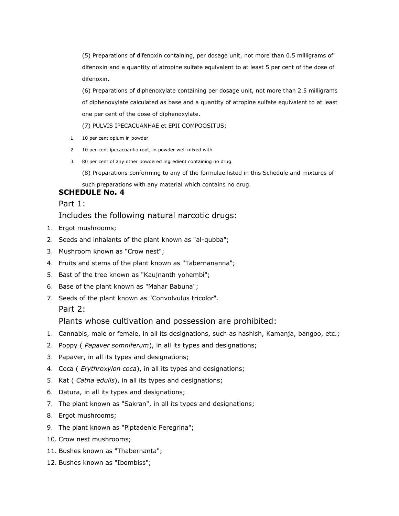(5) Preparations of difenoxin containing, per dosage unit, not more than 0.5 milligrams of difenoxin and a quantity of atropine sulfate equivalent to at least 5 per cent of the dose of difenoxin.

(6) Preparations of diphenoxylate containing per dosage unit, not more than 2.5 milligrams of diphenoxylate calculated as base and a quantity of atropine sulfate equivalent to at least one per cent of the dose of diphenoxylate.

(7) PULVIS IPECACUANHAE et EPII COMPOOSITUS:

- 1. 10 per cent opium in powder
- 2. 10 per cent ipecacuanha root, in powder well mixed with
- 3. 80 per cent of any other powdered ingredient containing no drug.
	- (8) Preparations conforming to any of the formulae listed in this Schedule and mixtures of

such preparations with any material which contains no drug.

#### **SCHEDULE No. 4**

Part 1:

#### Includes the following natural narcotic drugs:

- 1. Ergot mushrooms;
- 2. Seeds and inhalants of the plant known as "al-qubba";
- 3. Mushroom known as "Crow nest";
- 4. Fruits and stems of the plant known as "Tabernananna";
- 5. Bast of the tree known as "Kaujnanth yohembi";
- 6. Base of the plant known as "Mahar Babuna";
- 7. Seeds of the plant known as "Convolvulus tricolor". Part 2:

#### Plants whose cultivation and possession are prohibited:

- 1. Cannabis, male or female, in all its designations, such as hashish, Kamanja, bangoo, etc.;
- 2. Poppy ( *Papaver somniferum*), in all its types and designations;
- 3. Papaver, in all its types and designations;
- 4. Coca ( *Erythroxylon coca*), in all its types and designations;
- 5. Kat ( *Catha edulis*), in all its types and designations;
- 6. Datura, in all its types and designations;
- 7. The plant known as "Sakran", in all its types and designations;
- 8. Ergot mushrooms;
- 9. The plant known as "Piptadenie Peregrina";
- 10. Crow nest mushrooms;
- 11. Bushes known as "Thabernanta";
- 12. Bushes known as "Ibombiss";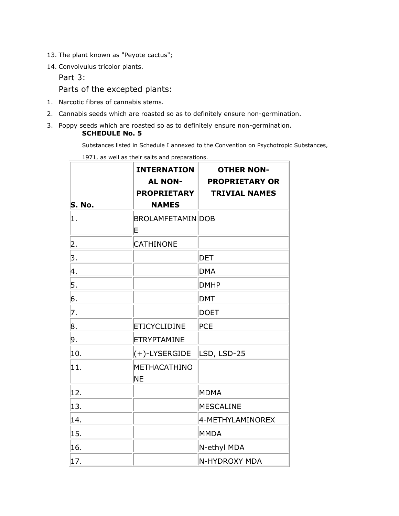- 13. The plant known as "Peyote cactus";
- 14. Convolvulus tricolor plants.

Part 3:

Parts of the excepted plants:

- 1. Narcotic fibres of cannabis stems.
- 2. Cannabis seeds which are roasted so as to definitely ensure non-germination.
- 3. Poppy seeds which are roasted so as to definitely ensure non-germination. **SCHEDULE No. 5**

Substances listed in Schedule I annexed to the Convention on Psychotropic Substances,

|        | 1971, as well as their saits and preparations.<br><b>INTERNATION</b><br><b>AL NON-</b> | <b>OTHER NON-</b><br><b>PROPRIETARY OR</b> |
|--------|----------------------------------------------------------------------------------------|--------------------------------------------|
| S. No. | <b>PROPRIETARY</b><br><b>NAMES</b>                                                     | <b>TRIVIAL NAMES</b>                       |
| 1.     | <b>BROLAMFETAMIN DOB</b><br>E                                                          |                                            |
| 2.     | <b>CATHINONE</b>                                                                       |                                            |
| 3.     |                                                                                        | <b>DET</b>                                 |
| 4.     |                                                                                        | <b>DMA</b>                                 |
| 5.     |                                                                                        | <b>DMHP</b>                                |
| 6.     |                                                                                        | <b>DMT</b>                                 |
| 7.     |                                                                                        | <b>DOET</b>                                |
| 8.     | <b>ETICYCLIDINE</b>                                                                    | <b>PCE</b>                                 |
| 9.     | <b>ETRYPTAMINE</b>                                                                     |                                            |
| 10.    | $(+)$ -LYSERGIDE                                                                       | LSD, LSD-25                                |
| 11     | METHACATHINO<br><b>NE</b>                                                              |                                            |
| 12.    |                                                                                        | <b>MDMA</b>                                |
| 13.    |                                                                                        | MESCALINE                                  |
| 14.    |                                                                                        | 4-METHYLAMINOREX                           |
| 15.    |                                                                                        | MMDA                                       |
| 16.    |                                                                                        | N-ethyl MDA                                |
| 17     |                                                                                        | N-HYDROXY MDA                              |

1971, as well as their salts and preparations.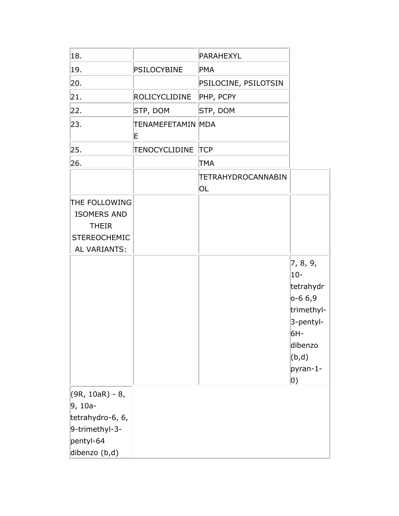| 18.                                                                                                |                        | PARAHEXYL                |                                                                                                                        |
|----------------------------------------------------------------------------------------------------|------------------------|--------------------------|------------------------------------------------------------------------------------------------------------------------|
| 19.                                                                                                | <b>PSILOCYBINE</b>     | PMA                      |                                                                                                                        |
| 20.                                                                                                |                        | PSILOCINE, PSILOTSIN     |                                                                                                                        |
| 21.                                                                                                | <b>ROLICYCLIDINE</b>   | PHP, PCPY                |                                                                                                                        |
| 22.                                                                                                | STP, DOM               | STP, DOM                 |                                                                                                                        |
| 23.                                                                                                | TENAMEFETAMIN MDA<br>E |                          |                                                                                                                        |
| 25.                                                                                                | TENOCYCLIDINE          | <b>TCP</b>               |                                                                                                                        |
| 26.                                                                                                |                        | <b>TMA</b>               |                                                                                                                        |
|                                                                                                    |                        | TETRAHYDROCANNABIN<br>OL |                                                                                                                        |
| THE FOLLOWING<br><b>ISOMERS AND</b><br><b>THEIR</b><br><b>STEREOCHEMIC</b><br><b>AL VARIANTS:</b>  |                        |                          |                                                                                                                        |
|                                                                                                    |                        |                          | 7, 8, 9,<br>$10 -$<br>tetrahydr<br>$0 - 66,9$<br>trimethyl-<br>3-pentyl-<br>6H-<br>dibenzo<br>(b,d)<br>pyran-1-<br> 0) |
| $(9R, 10aR) - 8,$<br>$9, 10a-$<br>tetrahydro-6, 6,<br>9-trimethyl-3-<br>pentyl-64<br>dibenzo (b,d) |                        |                          |                                                                                                                        |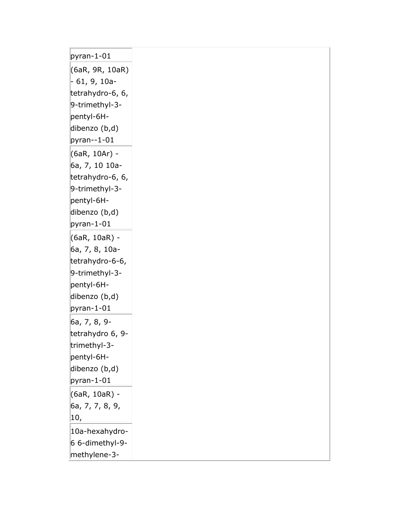| $pyran-1-01$                      |
|-----------------------------------|
| (6aR, 9R, 10aR)                   |
| $-61, 9, 10a-$                    |
| tetrahydro-6, 6,                  |
| 9-trimethyl-3-                    |
| pentyl-6H-                        |
| dibenzo (b,d)                     |
| $pyran-1-01$                      |
| (6aR, 10Ar) -                     |
| 6a, 7, 10 10a-                    |
| tetrahydro-6, 6,                  |
| 9-trimethyl-3-                    |
| pentyl-6H-                        |
| dibenzo (b,d)                     |
| $pyran-1-01$                      |
| (6aR, 10aR) -<br>6a, 7, 8, 10a-   |
| tetrahydro-6-6,                   |
| 9-trimethyl-3-                    |
| pentyl-6H-                        |
| dibenzo (b,d)                     |
| $pyran-1-01$                      |
| 6a, 7, 8, 9-                      |
| tetrahydro 6, 9-                  |
| trimethyl-3-                      |
| pentyl-6H-                        |
| dibenzo (b,d)                     |
| $pyran-1-01$                      |
| (6aR, 10aR) -                     |
| 6a, 7, 7, 8, 9,                   |
| 10,                               |
| 10a-hexahydro-<br>6 6-dimethyl-9- |
| methylene-3-                      |
|                                   |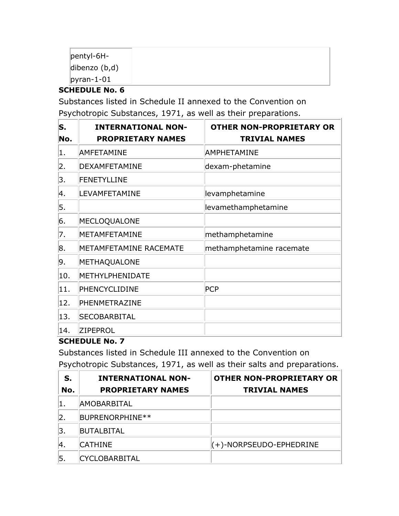| pentyl-6H-             |  |  |
|------------------------|--|--|
| dibenzo $(b,d)$        |  |  |
| $\parallel$ pyran-1-01 |  |  |

## **SCHEDULE No. 6**

Substances listed in Schedule II annexed to the Convention on Psychotropic Substances, 1971, as well as their preparations.

| S.<br>No. | <b>INTERNATIONAL NON-</b><br><b>PROPRIETARY NAMES</b> | <b>OTHER NON-PROPRIETARY OR</b><br><b>TRIVIAL NAMES</b> |
|-----------|-------------------------------------------------------|---------------------------------------------------------|
| 1.        | AMFETAMINE                                            | AMPHETAMINE                                             |
| 2.        | DEXAMFETAMINE                                         | dexam-phetamine                                         |
| 3.        | FENETYLLINE                                           |                                                         |
| 4.        | LEVAMFETAMINE                                         | levamphetamine                                          |
| 5.        |                                                       | levamethamphetamine                                     |
| 6.        | MECLOQUALONE                                          |                                                         |
| 7.        | METAMFETAMINE                                         | methamphetamine                                         |
| 8.        | METAMFETAMINE RACEMATE                                | methamphetamine racemate                                |
| 9.        | METHAQUALONE                                          |                                                         |
| 10.       | METHYLPHENIDATE                                       |                                                         |
| 11.       | PHENCYCLIDINE                                         | <b>PCP</b>                                              |
| 12.       | PHENMETRAZINE                                         |                                                         |
| 13.       | SECOBARBITAL                                          |                                                         |
| 14.       | ZIPEPROL                                              |                                                         |

### **SCHEDULE No. 7**

Substances listed in Schedule III annexed to the Convention on Psychotropic Substances, 1971, as well as their salts and preparations.

| S.  | <b>INTERNATIONAL NON-</b> | <b>OTHER NON-PROPRIETARY OR</b> |
|-----|---------------------------|---------------------------------|
| No. | <b>PROPRIETARY NAMES</b>  | <b>TRIVIAL NAMES</b>            |
|     | AMOBARBITAL               |                                 |
|     | BUPRENORPHINE**           |                                 |
| З.  | <b>BUTALBITAL</b>         |                                 |
|     | <b>CATHINE</b>            | $(+)$ -NORPSEUDO-EPHEDRINE      |
| 5.  | <b>CYCLOBARBITAL</b>      |                                 |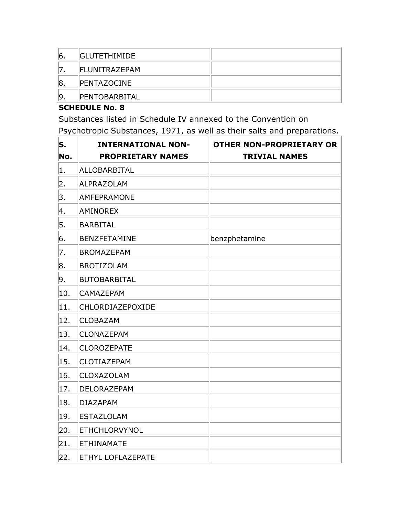| <sup>6.</sup> | <b>GLUTETHIMIDE</b>   |  |
|---------------|-----------------------|--|
|               | <b>IFLUNITRAZEPAM</b> |  |
| 8.            | <b>PENTAZOCINE</b>    |  |
| '9.           | <b>PENTOBARBITAL</b>  |  |

#### **SCHEDULE No. 8**

Substances listed in Schedule IV annexed to the Convention on Psychotropic Substances, 1971, as well as their salts and preparations.

| S.  | <b>INTERNATIONAL NON-</b> | <b>OTHER NON-PROPRIETARY OR</b> |
|-----|---------------------------|---------------------------------|
| No. | <b>PROPRIETARY NAMES</b>  | <b>TRIVIAL NAMES</b>            |
| 1   | ALLOBARBITAL              |                                 |
| 2.  | <b>ALPRAZOLAM</b>         |                                 |
| 3.  | <b>AMFEPRAMONE</b>        |                                 |
| 4.  | <b>AMINOREX</b>           |                                 |
| 5.  | <b>BARBITAL</b>           |                                 |
| 6.  | BENZFETAMINE              | benzphetamine                   |
| 7.  | <b>BROMAZEPAM</b>         |                                 |
| 8.  | <b>BROTIZOLAM</b>         |                                 |
| 9.  | <b>BUTOBARBITAL</b>       |                                 |
| 10. | <b>CAMAZEPAM</b>          |                                 |
| 11. | <b>CHLORDIAZEPOXIDE</b>   |                                 |
| 12. | <b>CLOBAZAM</b>           |                                 |
| 13. | <b>CLONAZEPAM</b>         |                                 |
| 14. | <b>CLOROZEPATE</b>        |                                 |
| 15. | <b>CLOTIAZEPAM</b>        |                                 |
| 16. | <b>CLOXAZOLAM</b>         |                                 |
| 17. | DELORAZEPAM               |                                 |
| 18. | <b>DIAZAPAM</b>           |                                 |
| 19. | <b>ESTAZLOLAM</b>         |                                 |
| 20. | <b>ETHCHLORVYNOL</b>      |                                 |
| 21. | <b>ETHINAMATE</b>         |                                 |
| 22. | <b>ETHYL LOFLAZEPATE</b>  |                                 |